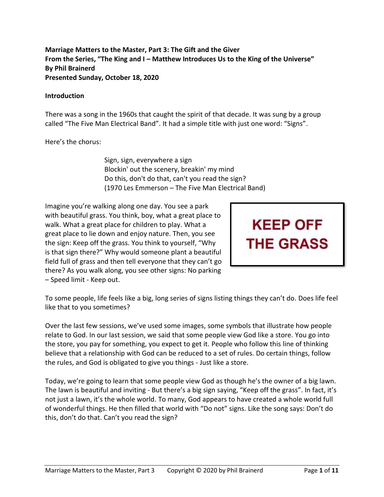**Marriage Matters to the Master, Part 3: The Gift and the Giver From the Series, "The King and I – Matthew Introduces Us to the King of the Universe" By Phil Brainerd Presented Sunday, October 18, 2020**

#### **Introduction**

There was a song in the 1960s that caught the spirit of that decade. It was sung by a group called "The Five Man Electrical Band". It had a simple title with just one word: "Signs".

Here's the chorus:

Sign, sign, everywhere a sign Blockin' out the scenery, breakin' my mind Do this, don't do that, can't you read the sign? (1970 Les Emmerson – The Five Man Electrical Band)

Imagine you're walking along one day. You see a park with beautiful grass. You think, boy, what a great place to walk. What a great place for children to play. What a great place to lie down and enjoy nature. Then, you see the sign: Keep off the grass. You think to yourself, "Why is that sign there?" Why would someone plant a beautiful field full of grass and then tell everyone that they can't go there? As you walk along, you see other signs: No parking – Speed limit - Keep out.



To some people, life feels like a big, long series of signs listing things they can't do. Does life feel like that to you sometimes?

Over the last few sessions, we've used some images, some symbols that illustrate how people relate to God. In our last session, we said that some people view God like a store. You go into the store, you pay for something, you expect to get it. People who follow this line of thinking believe that a relationship with God can be reduced to a set of rules. Do certain things, follow the rules, and God is obligated to give you things - Just like a store.

Today, we're going to learn that some people view God as though he's the owner of a big lawn. The lawn is beautiful and inviting - But there's a big sign saying, "Keep off the grass". In fact, it's not just a lawn, it's the whole world. To many, God appears to have created a whole world full of wonderful things. He then filled that world with "Do not" signs. Like the song says: Don't do this, don't do that. Can't you read the sign?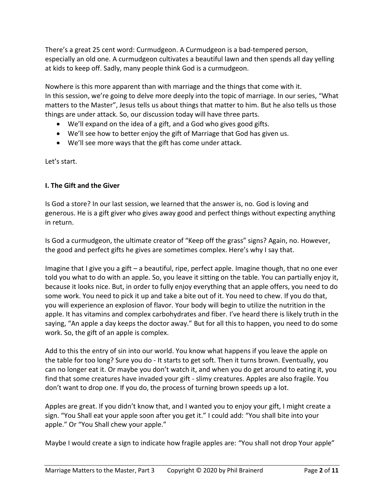There's a great 25 cent word: Curmudgeon. A Curmudgeon is a bad-tempered person, especially an old one. A curmudgeon cultivates a beautiful lawn and then spends all day yelling at kids to keep off. Sadly, many people think God is a curmudgeon.

Nowhere is this more apparent than with marriage and the things that come with it. In this session, we're going to delve more deeply into the topic of marriage. In our series, "What matters to the Master", Jesus tells us about things that matter to him. But he also tells us those things are under attack. So, our discussion today will have three parts.

- We'll expand on the idea of a gift, and a God who gives good gifts.
- We'll see how to better enjoy the gift of Marriage that God has given us.
- We'll see more ways that the gift has come under attack.

Let's start.

## **I. The Gift and the Giver**

Is God a store? In our last session, we learned that the answer is, no. God is loving and generous. He is a gift giver who gives away good and perfect things without expecting anything in return.

Is God a curmudgeon, the ultimate creator of "Keep off the grass" signs? Again, no. However, the good and perfect gifts he gives are sometimes complex. Here's why I say that.

Imagine that I give you a gift – a beautiful, ripe, perfect apple. Imagine though, that no one ever told you what to do with an apple. So, you leave it sitting on the table. You can partially enjoy it, because it looks nice. But, in order to fully enjoy everything that an apple offers, you need to do some work. You need to pick it up and take a bite out of it. You need to chew. If you do that, you will experience an explosion of flavor. Your body will begin to utilize the nutrition in the apple. It has vitamins and complex carbohydrates and fiber. I've heard there is likely truth in the saying, "An apple a day keeps the doctor away." But for all this to happen, you need to do some work. So, the gift of an apple is complex.

Add to this the entry of sin into our world. You know what happens if you leave the apple on the table for too long? Sure you do - It starts to get soft. Then it turns brown. Eventually, you can no longer eat it. Or maybe you don't watch it, and when you do get around to eating it, you find that some creatures have invaded your gift - slimy creatures. Apples are also fragile. You don't want to drop one. If you do, the process of turning brown speeds up a lot.

Apples are great. If you didn't know that, and I wanted you to enjoy your gift, I might create a sign. "You Shall eat your apple soon after you get it." I could add: "You shall bite into your apple." Or "You Shall chew your apple."

Maybe I would create a sign to indicate how fragile apples are: "You shall not drop Your apple"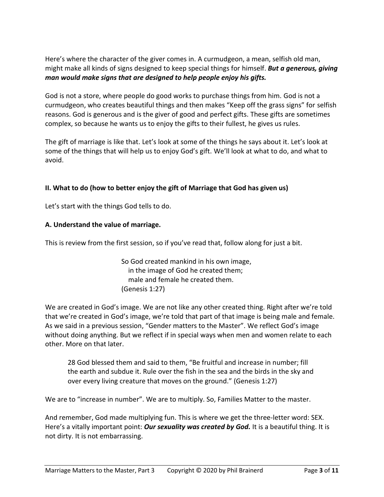Here's where the character of the giver comes in. A curmudgeon, a mean, selfish old man, might make all kinds of signs designed to keep special things for himself. *But a generous, giving man would make signs that are designed to help people enjoy his gifts.*

God is not a store, where people do good works to purchase things from him. God is not a curmudgeon, who creates beautiful things and then makes "Keep off the grass signs" for selfish reasons. God is generous and is the giver of good and perfect gifts. These gifts are sometimes complex, so because he wants us to enjoy the gifts to their fullest, he gives us rules.

The gift of marriage is like that. Let's look at some of the things he says about it. Let's look at some of the things that will help us to enjoy God's gift. We'll look at what to do, and what to avoid.

## **II. What to do (how to better enjoy the gift of Marriage that God has given us)**

Let's start with the things God tells to do.

#### **A. Understand the value of marriage.**

This is review from the first session, so if you've read that, follow along for just a bit.

So God created mankind in his own image, in the image of God he created them; male and female he created them. (Genesis 1:27)

We are created in God's image. We are not like any other created thing. Right after we're told that we're created in God's image, we're told that part of that image is being male and female. As we said in a previous session, "Gender matters to the Master". We reflect God's image without doing anything. But we reflect if in special ways when men and women relate to each other. More on that later.

28 God blessed them and said to them, "Be fruitful and increase in number; fill the earth and subdue it. Rule over the fish in the sea and the birds in the sky and over every living creature that moves on the ground." (Genesis 1:27)

We are to "increase in number". We are to multiply. So, Families Matter to the master.

And remember, God made multiplying fun. This is where we get the three-letter word: SEX. Here's a vitally important point: *Our sexuality was created by God.* It is a beautiful thing. It is not dirty. It is not embarrassing.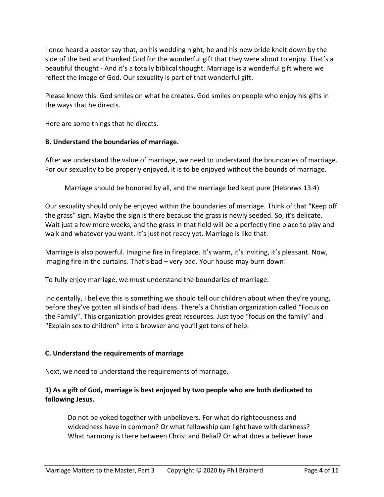I once heard a pastor say that, on his wedding night, he and his new bride knelt down by the side of the bed and thanked God for the wonderful gift that they were about to enjoy. That's a beautiful thought - And it's a totally biblical thought. Marriage is a wonderful gift where we reflect the image of God. Our sexuality is part of that wonderful gift.

Please know this: God smiles on what he creates. God smiles on people who enjoy his gifts in the ways that he directs.

Here are some things that he directs.

#### **B. Understand the boundaries of marriage.**

After we understand the value of marriage, we need to understand the boundaries of marriage. For our sexuality to be properly enjoyed, it is to be enjoyed without the bounds of marriage.

Marriage should be honored by all, and the marriage bed kept pure (Hebrews 13:4)

Our sexuality should only be enjoyed within the boundaries of marriage. Think of that "Keep off the grass" sign. Maybe the sign is there because the grass is newly seeded. So, it's delicate. Wait just a few more weeks, and the grass in that field will be a perfectly fine place to play and walk and whatever you want. It's just not ready yet. Marriage is like that.

Marriage is also powerful. Imagine fire in fireplace. It's warm, it's inviting, it's pleasant. Now, imaging fire in the curtains. That's bad – very bad. Your house may burn down!

To fully enjoy marriage, we must understand the boundaries of marriage.

Incidentally, I believe this is something we should tell our children about when they're young, before they've gotten all kinds of bad ideas. There's a Christian organization called "Focus on the Family". This organization provides great resources. Just type "focus on the family" and "Explain sex to children" into a browser and you'll get tons of help.

#### **C. Understand the requirements of marriage**

Next, we need to understand the requirements of marriage.

## **1) As a gift of God, marriage is best enjoyed by two people who are both dedicated to following Jesus.**

Do not be yoked together with unbelievers. For what do righteousness and wickedness have in common? Or what fellowship can light have with darkness? What harmony is there between Christ and Belial? Or what does a believer have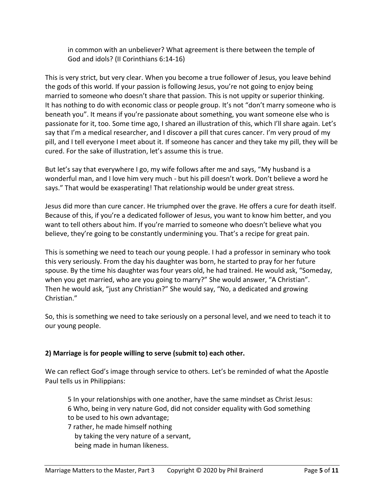in common with an unbeliever? What agreement is there between the temple of God and idols? (II Corinthians 6:14-16)

This is very strict, but very clear. When you become a true follower of Jesus, you leave behind the gods of this world. If your passion is following Jesus, you're not going to enjoy being married to someone who doesn't share that passion. This is not uppity or superior thinking. It has nothing to do with economic class or people group. It's not "don't marry someone who is beneath you". It means if you're passionate about something, you want someone else who is passionate for it, too. Some time ago, I shared an illustration of this, which I'll share again. Let's say that I'm a medical researcher, and I discover a pill that cures cancer. I'm very proud of my pill, and I tell everyone I meet about it. If someone has cancer and they take my pill, they will be cured. For the sake of illustration, let's assume this is true.

But let's say that everywhere I go, my wife follows after me and says, "My husband is a wonderful man, and I love him very much - but his pill doesn't work. Don't believe a word he says." That would be exasperating! That relationship would be under great stress.

Jesus did more than cure cancer. He triumphed over the grave. He offers a cure for death itself. Because of this, if you're a dedicated follower of Jesus, you want to know him better, and you want to tell others about him. If you're married to someone who doesn't believe what you believe, they're going to be constantly undermining you. That's a recipe for great pain.

This is something we need to teach our young people. I had a professor in seminary who took this very seriously. From the day his daughter was born, he started to pray for her future spouse. By the time his daughter was four years old, he had trained. He would ask, "Someday, when you get married, who are you going to marry?" She would answer, "A Christian". Then he would ask, "just any Christian?" She would say, "No, a dedicated and growing Christian."

So, this is something we need to take seriously on a personal level, and we need to teach it to our young people.

# **2) Marriage is for people willing to serve (submit to) each other.**

We can reflect God's image through service to others. Let's be reminded of what the Apostle Paul tells us in Philippians:

5 In your relationships with one another, have the same mindset as Christ Jesus: 6 Who, being in very nature God, did not consider equality with God something to be used to his own advantage;

7 rather, he made himself nothing by taking the very nature of a servant, being made in human likeness.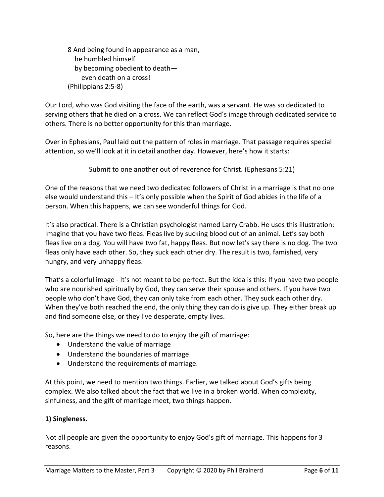8 And being found in appearance as a man, he humbled himself by becoming obedient to death even death on a cross! (Philippians 2:5-8)

Our Lord, who was God visiting the face of the earth, was a servant. He was so dedicated to serving others that he died on a cross. We can reflect God's image through dedicated service to others. There is no better opportunity for this than marriage.

Over in Ephesians, Paul laid out the pattern of roles in marriage. That passage requires special attention, so we'll look at it in detail another day. However, here's how it starts:

Submit to one another out of reverence for Christ. (Ephesians 5:21)

One of the reasons that we need two dedicated followers of Christ in a marriage is that no one else would understand this – It's only possible when the Spirit of God abides in the life of a person. When this happens, we can see wonderful things for God.

It's also practical. There is a Christian psychologist named Larry Crabb. He uses this illustration: Imagine that you have two fleas. Fleas live by sucking blood out of an animal. Let's say both fleas live on a dog. You will have two fat, happy fleas. But now let's say there is no dog. The two fleas only have each other. So, they suck each other dry. The result is two, famished, very hungry, and very unhappy fleas.

That's a colorful image - It's not meant to be perfect. But the idea is this: If you have two people who are nourished spiritually by God, they can serve their spouse and others. If you have two people who don't have God, they can only take from each other. They suck each other dry. When they've both reached the end, the only thing they can do is give up. They either break up and find someone else, or they live desperate, empty lives.

So, here are the things we need to do to enjoy the gift of marriage:

- Understand the value of marriage
- Understand the boundaries of marriage
- Understand the requirements of marriage.

At this point, we need to mention two things. Earlier, we talked about God's gifts being complex. We also talked about the fact that we live in a broken world. When complexity, sinfulness, and the gift of marriage meet, two things happen.

### **1) Singleness.**

Not all people are given the opportunity to enjoy God's gift of marriage. This happens for 3 reasons.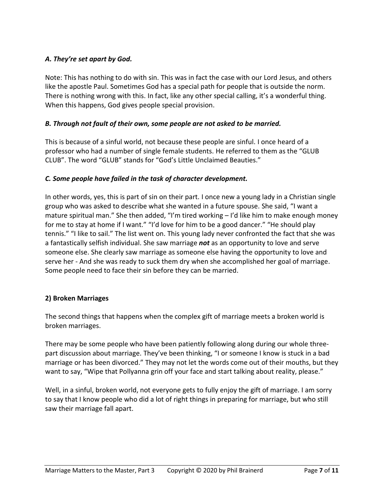## *A. They're set apart by God.*

Note: This has nothing to do with sin. This was in fact the case with our Lord Jesus, and others like the apostle Paul. Sometimes God has a special path for people that is outside the norm. There is nothing wrong with this. In fact, like any other special calling, it's a wonderful thing. When this happens, God gives people special provision.

#### *B. Through not fault of their own, some people are not asked to be married.*

This is because of a sinful world, not because these people are sinful. I once heard of a professor who had a number of single female students. He referred to them as the "GLUB CLUB". The word "GLUB" stands for "God's Little Unclaimed Beauties."

#### *C. Some people have failed in the task of character development.*

In other words, yes, this is part of sin on their part. I once new a young lady in a Christian single group who was asked to describe what she wanted in a future spouse. She said, "I want a mature spiritual man." She then added, "I'm tired working – I'd like him to make enough money for me to stay at home if I want." "I'd love for him to be a good dancer." "He should play tennis." "I like to sail." The list went on. This young lady never confronted the fact that she was a fantastically selfish individual. She saw marriage *not* as an opportunity to love and serve someone else. She clearly saw marriage as someone else having the opportunity to love and serve her - And she was ready to suck them dry when she accomplished her goal of marriage. Some people need to face their sin before they can be married.

### **2) Broken Marriages**

The second things that happens when the complex gift of marriage meets a broken world is broken marriages.

There may be some people who have been patiently following along during our whole threepart discussion about marriage. They've been thinking, "I or someone I know is stuck in a bad marriage or has been divorced." They may not let the words come out of their mouths, but they want to say, "Wipe that Pollyanna grin off your face and start talking about reality, please."

Well, in a sinful, broken world, not everyone gets to fully enjoy the gift of marriage. I am sorry to say that I know people who did a lot of right things in preparing for marriage, but who still saw their marriage fall apart.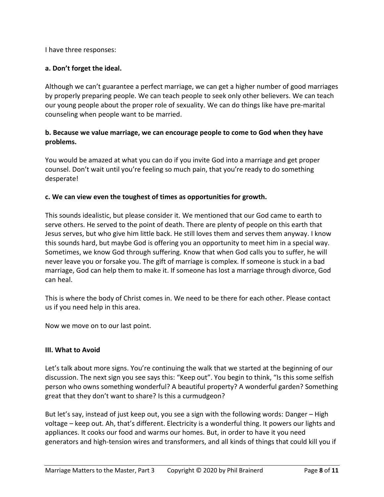I have three responses:

#### **a. Don't forget the ideal.**

Although we can't guarantee a perfect marriage, we can get a higher number of good marriages by properly preparing people. We can teach people to seek only other believers. We can teach our young people about the proper role of sexuality. We can do things like have pre-marital counseling when people want to be married.

### **b. Because we value marriage, we can encourage people to come to God when they have problems.**

You would be amazed at what you can do if you invite God into a marriage and get proper counsel. Don't wait until you're feeling so much pain, that you're ready to do something desperate!

### **c. We can view even the toughest of times as opportunities for growth.**

This sounds idealistic, but please consider it. We mentioned that our God came to earth to serve others. He served to the point of death. There are plenty of people on this earth that Jesus serves, but who give him little back. He still loves them and serves them anyway. I know this sounds hard, but maybe God is offering you an opportunity to meet him in a special way. Sometimes, we know God through suffering. Know that when God calls you to suffer, he will never leave you or forsake you. The gift of marriage is complex. If someone is stuck in a bad marriage, God can help them to make it. If someone has lost a marriage through divorce, God can heal.

This is where the body of Christ comes in. We need to be there for each other. Please contact us if you need help in this area.

Now we move on to our last point.

#### **III. What to Avoid**

Let's talk about more signs. You're continuing the walk that we started at the beginning of our discussion. The next sign you see says this: "Keep out". You begin to think, "Is this some selfish person who owns something wonderful? A beautiful property? A wonderful garden? Something great that they don't want to share? Is this a curmudgeon?

But let's say, instead of just keep out, you see a sign with the following words: Danger – High voltage – keep out. Ah, that's different. Electricity is a wonderful thing. It powers our lights and appliances. It cooks our food and warms our homes. But, in order to have it you need generators and high-tension wires and transformers, and all kinds of things that could kill you if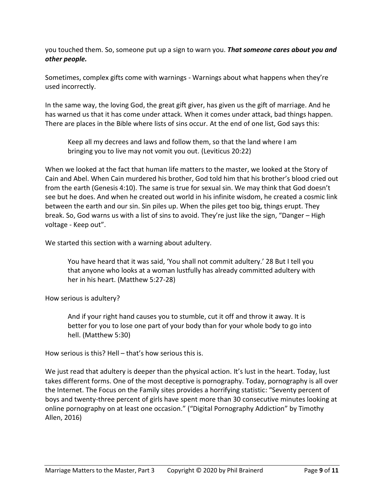you touched them. So, someone put up a sign to warn you. *That someone cares about you and other people.*

Sometimes, complex gifts come with warnings - Warnings about what happens when they're used incorrectly.

In the same way, the loving God, the great gift giver, has given us the gift of marriage. And he has warned us that it has come under attack. When it comes under attack, bad things happen. There are places in the Bible where lists of sins occur. At the end of one list, God says this:

Keep all my decrees and laws and follow them, so that the land where I am bringing you to live may not vomit you out. (Leviticus 20:22)

When we looked at the fact that human life matters to the master, we looked at the Story of Cain and Abel. When Cain murdered his brother, God told him that his brother's blood cried out from the earth (Genesis 4:10). The same is true for sexual sin. We may think that God doesn't see but he does. And when he created out world in his infinite wisdom, he created a cosmic link between the earth and our sin. Sin piles up. When the piles get too big, things erupt. They break. So, God warns us with a list of sins to avoid. They're just like the sign, "Danger – High voltage - Keep out".

We started this section with a warning about adultery.

You have heard that it was said, 'You shall not commit adultery.' 28 But I tell you that anyone who looks at a woman lustfully has already committed adultery with her in his heart. (Matthew 5:27-28)

How serious is adultery?

And if your right hand causes you to stumble, cut it off and throw it away. It is better for you to lose one part of your body than for your whole body to go into hell. (Matthew 5:30)

How serious is this? Hell – that's how serious this is.

We just read that adultery is deeper than the physical action. It's lust in the heart. Today, lust takes different forms. One of the most deceptive is pornography. Today, pornography is all over the Internet. The Focus on the Family sites provides a horrifying statistic: "Seventy percent of boys and twenty-three percent of girls have spent more than 30 consecutive minutes looking at online pornography on at least one occasion." ("Digital Pornography Addiction" by Timothy Allen, 2016)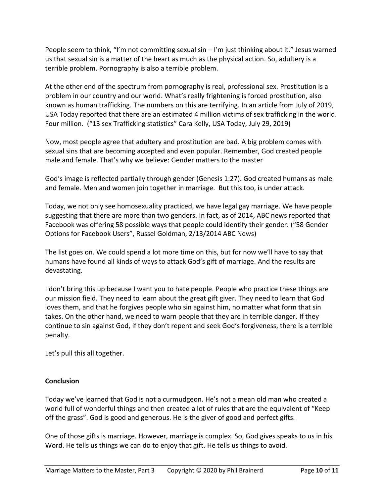People seem to think, "I'm not committing sexual sin  $-1$ 'm just thinking about it." Jesus warned us that sexual sin is a matter of the heart as much as the physical action. So, adultery is a terrible problem. Pornography is also a terrible problem.

At the other end of the spectrum from pornography is real, professional sex. Prostitution is a problem in our country and our world. What's really frightening is forced prostitution, also known as human trafficking. The numbers on this are terrifying. In an article from July of 2019, USA Today reported that there are an estimated 4 million victims of sex trafficking in the world. Four million. ("13 sex Trafficking statistics" Cara Kelly, USA Today, July 29, 2019)

Now, most people agree that adultery and prostitution are bad. A big problem comes with sexual sins that are becoming accepted and even popular. Remember, God created people male and female. That's why we believe: Gender matters to the master

God's image is reflected partially through gender (Genesis 1:27). God created humans as male and female. Men and women join together in marriage. But this too, is under attack.

Today, we not only see homosexuality practiced, we have legal gay marriage. We have people suggesting that there are more than two genders. In fact, as of 2014, ABC news reported that Facebook was offering 58 possible ways that people could identify their gender. ("58 Gender Options for Facebook Users", Russel Goldman, 2/13/2014 ABC News)

The list goes on. We could spend a lot more time on this, but for now we'll have to say that humans have found all kinds of ways to attack God's gift of marriage. And the results are devastating.

I don't bring this up because I want you to hate people. People who practice these things are our mission field. They need to learn about the great gift giver. They need to learn that God loves them, and that he forgives people who sin against him, no matter what form that sin takes. On the other hand, we need to warn people that they are in terrible danger. If they continue to sin against God, if they don't repent and seek God's forgiveness, there is a terrible penalty.

Let's pull this all together.

### **Conclusion**

Today we've learned that God is not a curmudgeon. He's not a mean old man who created a world full of wonderful things and then created a lot of rules that are the equivalent of "Keep off the grass". God is good and generous. He is the giver of good and perfect gifts.

One of those gifts is marriage. However, marriage is complex. So, God gives speaks to us in his Word. He tells us things we can do to enjoy that gift. He tells us things to avoid.